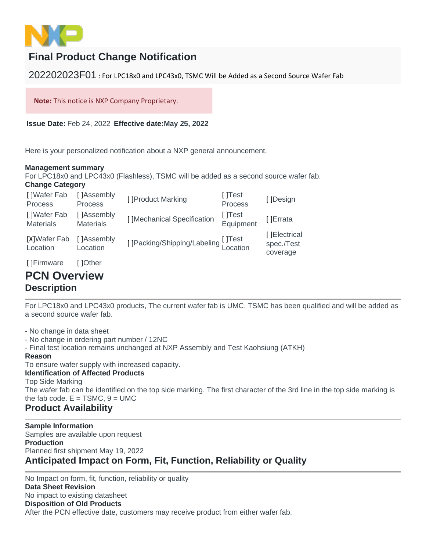

# **Final Product Change Notification**

202202023F01 : For LPC18x0 and LPC43x0, TSMC Will be Added as a Second Source Wafer Fab

**Note:** This notice is NXP Company Proprietary.

**Issue Date:** Feb 24, 2022 **Effective date:May 25, 2022**

Here is your personalized notification about a NXP general announcement.

#### **Management summary**

For LPC18x0 and LPC43x0 (Flashless), TSMC will be added as a second source wafer fab. **Change Category** 

| []Wafer Fab<br><b>Process</b>   | [ ]Assembly<br><b>Process</b>            | [] Product Marking                 | []Test<br>Process   | []Design                                |
|---------------------------------|------------------------------------------|------------------------------------|---------------------|-----------------------------------------|
| []Wafer Fab<br><b>Materials</b> | []Assembly<br><b>Materials</b>           | [] Mechanical Specification        | []Test<br>Equipment | []Errata                                |
| [X]Wafer Fab<br>Location        | []Assembly<br>Location                   | []Packing/Shipping/Labeling []Test |                     | [ ]Electrical<br>spec./Test<br>coverage |
|                                 | $\Gamma$ 10 $\Lambda$ $\mu$ $\sim$ $\mu$ |                                    |                     |                                         |

#### [ ]Firmware [ ]Other **PCN Overview**

## **Description**

For LPC18x0 and LPC43x0 products, The current wafer fab is UMC. TSMC has been qualified and will be added as a second source wafer fab.

- No change in data sheet

- No change in ordering part number / 12NC

- Final test location remains unchanged at NXP Assembly and Test Kaohsiung (ATKH)

#### **Reason**

To ensure wafer supply with increased capacity.

**Identification of Affected Products**  Top Side Marking The wafer fab can be identified on the top side marking. The first character of the 3rd line in the top side marking is the fab code.  $E = TSMC$ ,  $9 = UMC$ 

### **Product Availability**

**Sample Information**  Samples are available upon request **Production**  Planned first shipment May 19, 2022 **Anticipated Impact on Form, Fit, Function, Reliability or Quality** 

No Impact on form, fit, function, reliability or quality **Data Sheet Revision**  No impact to existing datasheet **Disposition of Old Products**  After the PCN effective date, customers may receive product from either wafer fab.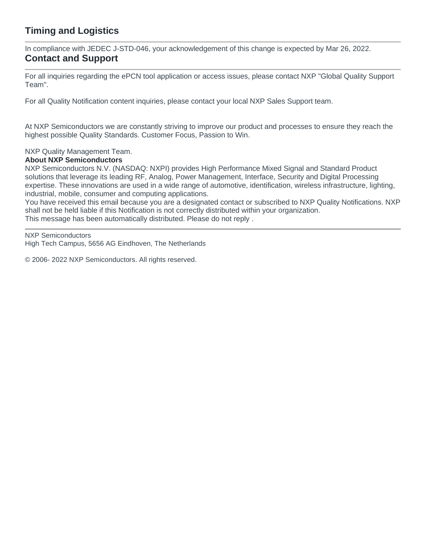### **Timing and Logistics**

In compliance with JEDEC J-STD-046, your acknowledgement of this change is expected by Mar 26, 2022. **Contact and Support** 

For all inquiries regarding the ePCN tool application or access issues, please contact NXP "Global Quality Support Team".

For all Quality Notification content inquiries, please contact your local NXP Sales Support team.

At NXP Semiconductors we are constantly striving to improve our product and processes to ensure they reach the highest possible Quality Standards. Customer Focus, Passion to Win.

NXP Quality Management Team.

#### **About NXP Semiconductors**

NXP Semiconductors N.V. (NASDAQ: NXPI) provides High Performance Mixed Signal and Standard Product solutions that leverage its leading RF, Analog, Power Management, Interface, Security and Digital Processing expertise. These innovations are used in a wide range of automotive, identification, wireless infrastructure, lighting, industrial, mobile, consumer and computing applications.

You have received this email because you are a designated contact or subscribed to NXP Quality Notifications. NXP shall not be held liable if this Notification is not correctly distributed within your organization. This message has been automatically distributed. Please do not reply .

NXP Semiconductors

High Tech Campus, 5656 AG Eindhoven, The Netherlands

© 2006- 2022 NXP Semiconductors. All rights reserved.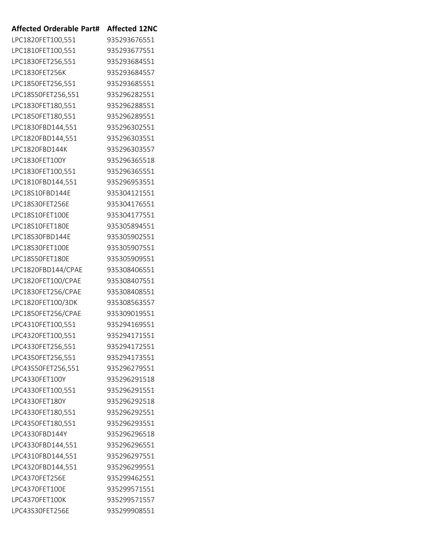| <b>Affected Orderable Part#</b> | <b>Affected 12NC</b> |
|---------------------------------|----------------------|
| LPC1820FET100,551               | 935293676551         |
| LPC1810FET100,551               | 935293677551         |
| LPC1830FET256,551               | 935293684551         |
| LPC1830FET256K                  | 935293684557         |
| LPC1850FET256,551               | 935293685551         |
| LPC18S50FET256,551              | 935296282551         |
| LPC1830FET180,551               | 935296288551         |
| LPC1850FET180,551               | 935296289551         |
| LPC1830FBD144,551               | 935296302551         |
| LPC1820FBD144,551               | 935296303551         |
| LPC1820FBD144K                  | 935296303557         |
| LPC1830FET100Y                  | 935296365518         |
| LPC1830FET100,551               | 935296365551         |
| LPC1810FBD144,551               | 935296953551         |
| LPC18S10FBD144E                 | 935304121551         |
| LPC18S30FET256E                 | 935304176551         |
| LPC18S10FET100E                 | 935304177551         |
| LPC18S10FET180E                 | 935305894551         |
| LPC18S30FBD144E                 | 935305902551         |
| LPC18S30FET100E                 | 935305907551         |
| LPC18S50FET180E                 | 935305909551         |
| LPC1820FBD144/CPAE              | 935308406551         |
| LPC1820FET100/CPAE              | 935308407551         |
| LPC1830FET256/CPAE              | 935308408551         |
| LPC1820FET100/3DK               | 935308563557         |
| LPC1850FET256/CPAE              | 935309019551         |
| LPC4310FET100,551               | 935294169551         |
| LPC4320FET100,551               | 935294171551         |
| LPC4330FET256,551               | 935294172551         |
| LPC4350FET256,551               | 935294173551         |
| LPC43S50FET256,551              | 935296279551         |
| LPC4330FET100Y                  | 935296291518         |
| LPC4330FET100,551               | 935296291551         |
| LPC4330FET180Y                  | 935296292518         |
| LPC4330FET180,551               | 935296292551         |
| LPC4350FET180,551               | 935296293551         |
| LPC4330FBD144Y                  | 935296296518         |
| LPC4330FBD144,551               | 935296296551         |
| LPC4310FBD144,551               | 935296297551         |
| LPC4320FBD144,551               | 935296299551         |
| LPC4370FET256E                  | 935299462551         |
| LPC4370FET100E                  | 935299571551         |
| LPC4370FET100K                  | 935299571557         |
| LPC43S30FET256E                 | 935299908551         |